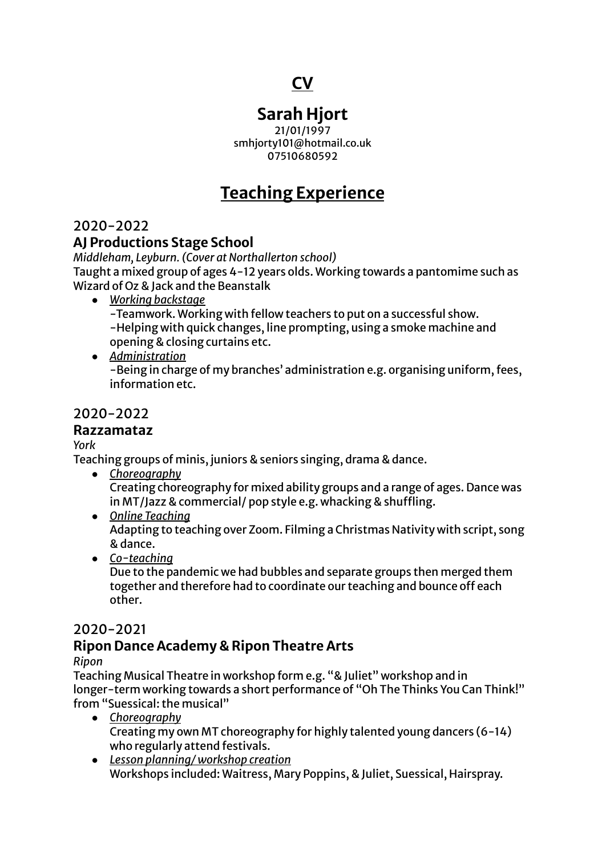# **CV**

# **Sarah Hjort**

21/01/1997 smhjorty101@hotmail.co.uk 07510680592

# **Teaching Experience**

2020-2022

### **AJ Productions Stage School**

*Middleham, Leyburn. (Cover at Northallerton school)* Taught a mixed group of ages 4-12 years olds. Working towards a pantomime such as Wizard of Oz & Jack and the Beanstalk

- *Working backstage* -Teamwork. Working with fellow teachers to put on a successful show. -Helping with quick changes, line prompting, using a smoke machine and opening & closing curtains etc.
- *Administration* -Being in charge of my branches' administration e.g. organising uniform, fees, information etc.

### 2020-2022

### **Razzamataz**

*York*

Teaching groups of minis, juniors & seniors singing, drama & dance.

- *Choreography* Creating choreography for mixed ability groups and a range of ages. Dance was in MT/Jazz & commercial/ pop style e.g. whacking & shuffling.
- *● Online Teaching* Adapting to teaching over Zoom. Filming a Christmas Nativity with script, song & dance.
- *● Co-teaching*

Due to the pandemic we had bubbles and separate groups then merged them together and therefore had to coordinate our teaching and bounce off each other.

## 2020-2021

# **Ripon Dance Academy & Ripon Theatre Arts**

*Ripon*

Teaching Musical Theatre in workshop form e.g. "& Juliet" workshop and in longer-term working towards a short performance of "Oh The Thinks You Can Think!" from "Suessical: the musical"

- *Choreography* Creating my own MT choreography for highly talented young dancers (6-14) who regularly attend festivals.
- *● Lesson planning/ workshop creation* Workshops included: Waitress, Mary Poppins, & Juliet, Suessical, Hairspray.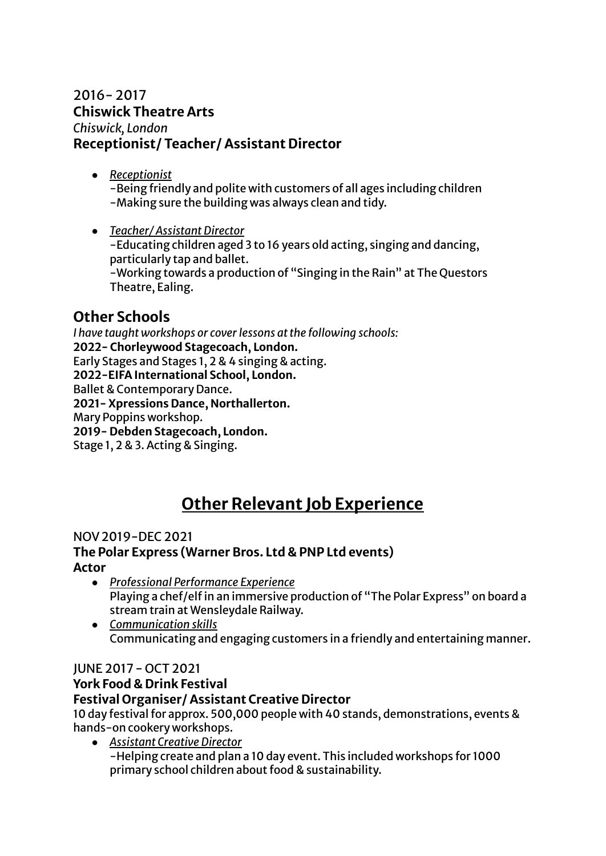### 2016- 2017 **Chiswick Theatre Arts** *Chiswick, London* **Receptionist/ Teacher/ Assistant Director**

- *● Receptionist* -Being friendly and polite with customers of all ages including children -Making sure the building was always clean and tidy.
- *● Teacher/ Assistant Director* -Educating children aged 3 to 16 years old acting, singing and dancing, particularly tap and ballet. -Working towards a production of "Singing in the Rain" at The Questors Theatre, Ealing.

# **Other Schools**

*I have taught workshops or coverlessons atthe following schools:* **2022- Chorleywood Stagecoach, London.** Early Stages and Stages 1, 2 & 4 singing & acting. **2022-EIFA International School, London.** Ballet & Contemporary Dance. **2021- Xpressions Dance, Northallerton.** Mary Poppins workshop. **2019- Debden Stagecoach, London.** Stage 1, 2 & 3. Acting & Singing.

# **Other Relevant Job Experience**

#### NOV2019-DEC 2021

#### **The Polar Express (Warner Bros. Ltd & PNP Ltd events) Actor**

- *Professional Performance Experience* Playing a chef/elf in an immersive production of "The Polar Express" on board a stream train at Wensleydale Railway.
- *Communication skills* Communicating and engaging customers in a friendly and entertaining manner.

#### JUNE 2017- OCT 2021

### **York Food & Drink Festival**

#### **Festival Organiser/ Assistant Creative Director**

10 day festival for approx. 500,000 people with 40 stands, demonstrations, events & hands-on cookery workshops.

*● Assistant Creative Director* -Helping create and plan a 10 day event. This included workshops for 1000 primary school children about food & sustainability.